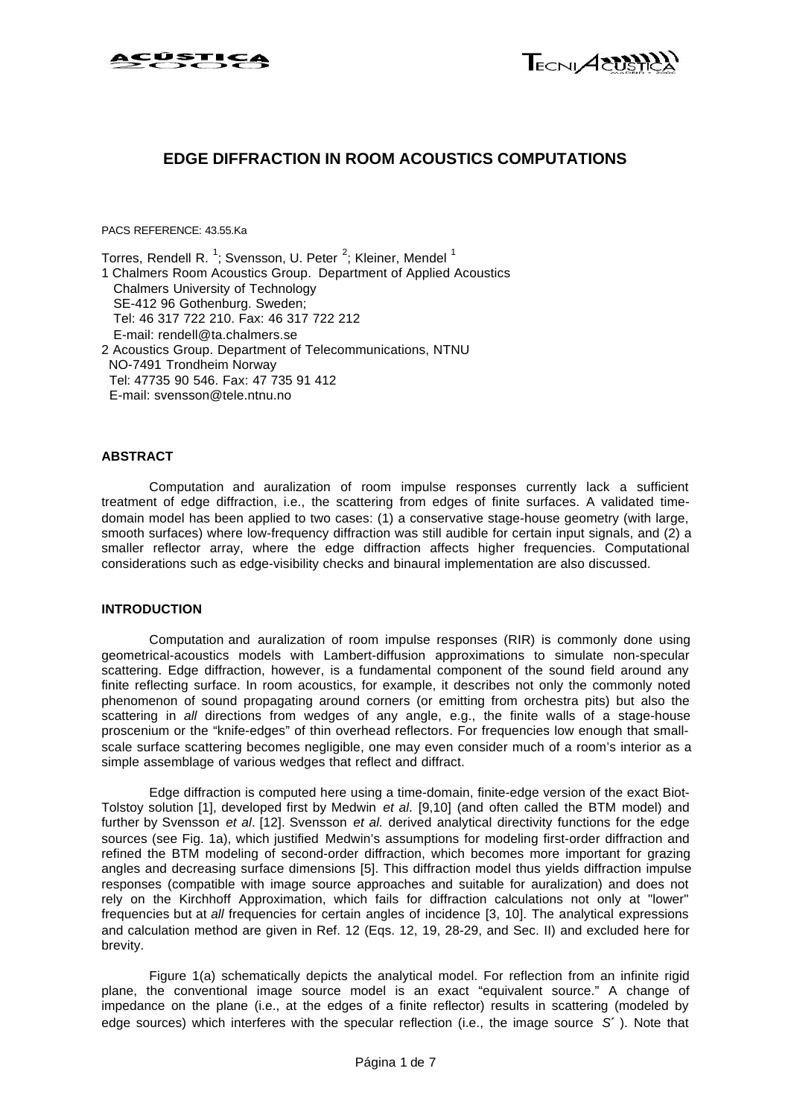



### **EDGE DIFFRACTION IN ROOM ACOUSTICS COMPUTATIONS**

PACS REFERENCE: 43.55.Ka

Torres, Rendell R.  $^1$ ; Svensson, U. Peter  $^2$ ; Kleiner, Mendel  $^1$ 1 Chalmers Room Acoustics Group.Department of Applied Acoustics Chalmers University of Technology SE-412 96 Gothenburg. Sweden; Tel: 46 317 722 210. Fax: 46 317 722 212 E-mail: rendell@ta.chalmers.se 2 Acoustics Group. Department of Telecommunications, NTNU NO-7491 Trondheim Norway Tel: 47735 90 546. Fax: 47 735 91 412 E-mail: svensson@tele.ntnu.no

### **ABSTRACT**

Computation and auralization of room impulse responses currently lack a sufficient treatment of edge diffraction, i.e., the scattering from edges of finite surfaces. A validated timedomain model has been applied to two cases: (1) a conservative stage-house geometry (with large, smooth surfaces) where low-frequency diffraction was still audible for certain input signals, and (2) a smaller reflector array, where the edge diffraction affects higher frequencies. Computational considerations such as edge-visibility checks and binaural implementation are also discussed.

### **INTRODUCTION**

Computation and auralization of room impulse responses (RIR) is commonly done using geometrical-acoustics models with Lambert-diffusion approximations to simulate non-specular scattering. Edge diffraction, however, is a fundamental component of the sound field around any finite reflecting surface. In room acoustics, for example, it describes not only the commonly noted phenomenon of sound propagating around corners (or emitting from orchestra pits) but also the scattering in *all* directions from wedges of any angle, e.g., the finite walls of a stage-house proscenium or the "knife-edges" of thin overhead reflectors. For frequencies low enough that smallscale surface scattering becomes negligible, one may even consider much of a room's interior as a simple assemblage of various wedges that reflect and diffract.

Edge diffraction is computed here using a time-domain, finite-edge version of the exact Biot-Tolstoy solution [1], developed first by Medwin *et al*. [9,10] (and often called the BTM model) and further by Svensson *et al*. [12]. Svensson *et al.* derived analytical directivity functions for the edge sources (see Fig. 1a), which justified Medwin's assumptions for modeling first-order diffraction and refined the BTM modeling of second-order diffraction, which becomes more important for grazing angles and decreasing surface dimensions [5]. This diffraction model thus yields diffraction impulse responses (compatible with image source approaches and suitable for auralization) and does not rely on the Kirchhoff Approximation, which fails for diffraction calculations not only at "lower" frequencies but at *all* frequencies for certain angles of incidence [3, 10]. The analytical expressions and calculation method are given in Ref. 12 (Eqs. 12, 19, 28-29, and Sec. II) and excluded here for brevity.

Figure 1(a) schematically depicts the analytical model. For reflection from an infinite rigid plane, the conventional image source model is an exact "equivalent source." A change of impedance on the plane (i.e., at the edges of a finite reflector) results in scattering (modeled by edge sources) which interferes with the specular reflection (i.e., the image source *S¢* ). Note that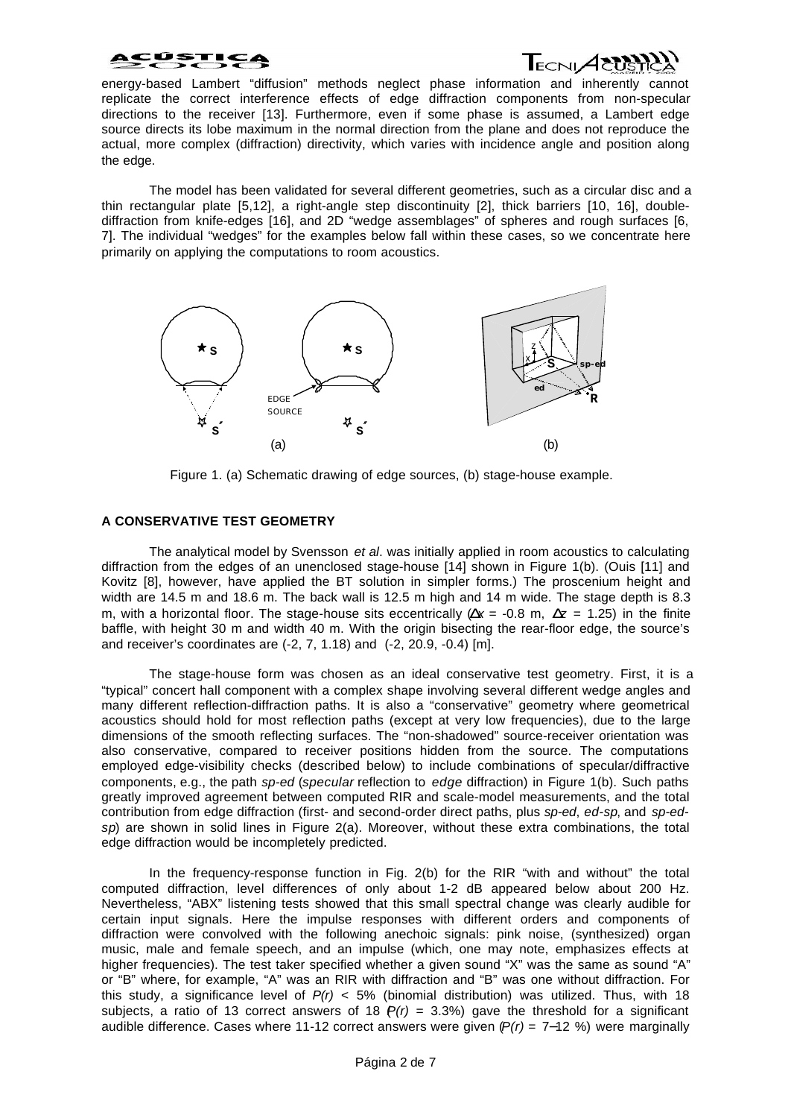

energy-based Lambert "diffusion" methods neglect phase information and inherently cannot replicate the correct interference effects of edge diffraction components from non-specular directions to the receiver [13]. Furthermore, even if some phase is assumed, a Lambert edge source directs its lobe maximum in the normal direction from the plane and does not reproduce the actual, more complex (diffraction) directivity, which varies with incidence angle and position along the edge.

The model has been validated for several different geometries, such as a circular disc and a thin rectangular plate [5,12], a right-angle step discontinuity [2], thick barriers [10, 16], doublediffraction from knife-edges [16], and 2D "wedge assemblages" of spheres and rough surfaces [6, 7]. The individual "wedges" for the examples below fall within these cases, so we concentrate here primarily on applying the computations to room acoustics.



Figure 1. (a) Schematic drawing of edge sources, (b) stage-house example.

### **A CONSERVATIVE TEST GEOMETRY**

The analytical model by Svensson *et al*. was initially applied in room acoustics to calculating diffraction from the edges of an unenclosed stage-house [14] shown in Figure 1(b). (Ouis [11] and Kovitz [8], however, have applied the BT solution in simpler forms.) The proscenium height and width are 14.5 m and 18.6 m. The back wall is 12.5 m high and 14 m wide. The stage depth is 8.3 m, with a horizontal floor. The stage-house sits eccentrically  $(Dx = -0.8 \text{ m}, Dz = 1.25)$  in the finite baffle, with height 30 m and width 40 m. With the origin bisecting the rear-floor edge, the source's and receiver's coordinates are (-2, 7, 1.18) and (-2, 20.9, -0.4) [m].

The stage-house form was chosen as an ideal conservative test geometry. First, it is a "typical" concert hall component with a complex shape involving several different wedge angles and many different reflection-diffraction paths. It is also a "conservative" geometry where geometrical acoustics should hold for most reflection paths (except at very low frequencies), due to the large dimensions of the smooth reflecting surfaces. The "non-shadowed" source-receiver orientation was also conservative, compared to receiver positions hidden from the source. The computations employed edge-visibility checks (described below) to include combinations of specular/diffractive components, e.g., the path *sp-ed* (*specular* reflection to *edge* diffraction) in Figure 1(b). Such paths greatly improved agreement between computed RIR and scale-model measurements, and the total contribution from edge diffraction (first- and second-order direct paths, plus *sp-ed*, *ed-sp*, and *sp-edsp*) are shown in solid lines in Figure 2(a). Moreover, without these extra combinations, the total edge diffraction would be incompletely predicted.

In the frequency-response function in Fig. 2(b) for the RIR "with and without" the total computed diffraction, level differences of only about 1-2 dB appeared below about 200 Hz. Nevertheless, "ABX" listening tests showed that this small spectral change was clearly audible for certain input signals. Here the impulse responses with different orders and components of diffraction were convolved with the following anechoic signals: pink noise, (synthesized) organ music, male and female speech, and an impulse (which, one may note, emphasizes effects at higher frequencies). The test taker specified whether a given sound "X" was the same as sound "A" or "B" where, for example, "A" was an RIR with diffraction and "B" was one without diffraction. For this study, a significance level of  $P(r)$  < 5% (binomial distribution) was utilized. Thus, with 18 subjects, a ratio of 13 correct answers of 18  $P(r)$  = 3.3%) gave the threshold for a significant audible difference. Cases where 11-12 correct answers were given (*P(r)* = 7−12 %) were marginally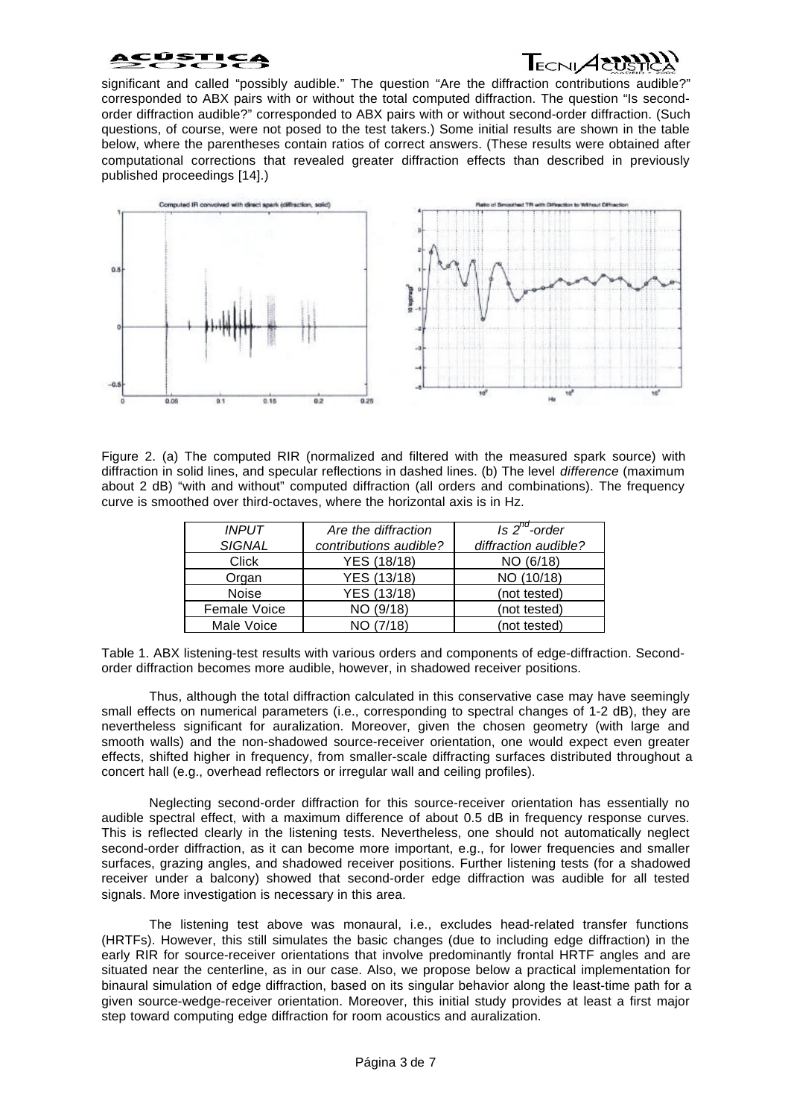# $\mathsf{T}_{\scriptscriptstyle\mathsf{ECNI}}\!\!\mathcal{A}\!\!\mathcal{C}\!\!\mathcal{U}\!\!S$

significant and called "possibly audible." The question "Are the diffraction contributions audible?" corresponded to ABX pairs with or without the total computed diffraction. The question "Is secondorder diffraction audible?" corresponded to ABX pairs with or without second-order diffraction. (Such questions, of course, were not posed to the test takers.) Some initial results are shown in the table below, where the parentheses contain ratios of correct answers. (These results were obtained after computational corrections that revealed greater diffraction effects than described in previously published proceedings [14].)



Figure 2. (a) The computed RIR (normalized and filtered with the measured spark source) with diffraction in solid lines, and specular reflections in dashed lines. (b) The level *difference* (maximum about 2 dB) "with and without" computed diffraction (all orders and combinations). The frequency curve is smoothed over third-octaves, where the horizontal axis is in Hz.

| <b>INPUT</b>  | Are the diffraction    | Is $2^{na}$ -order   |
|---------------|------------------------|----------------------|
| <b>SIGNAL</b> | contributions audible? | diffraction audible? |
| Click         | YES (18/18)            | NO (6/18)            |
| Organ         | YES (13/18)            | NO (10/18)           |
| Noise         | YES (13/18)            | (not tested)         |
| Female Voice  | NO (9/18)              | (not tested)         |
| Male Voice    | NO (7/18)              | (not tested)         |
|               |                        |                      |

Table 1. ABX listening-test results with various orders and components of edge-diffraction. Secondorder diffraction becomes more audible, however, in shadowed receiver positions.

Thus, although the total diffraction calculated in this conservative case may have seemingly small effects on numerical parameters (i.e., corresponding to spectral changes of 1-2 dB), they are nevertheless significant for auralization. Moreover, given the chosen geometry (with large and smooth walls) and the non-shadowed source-receiver orientation, one would expect even greater effects, shifted higher in frequency, from smaller-scale diffracting surfaces distributed throughout a concert hall (e.g., overhead reflectors or irregular wall and ceiling profiles).

Neglecting second-order diffraction for this source-receiver orientation has essentially no audible spectral effect, with a maximum difference of about 0.5 dB in frequency response curves. This is reflected clearly in the listening tests. Nevertheless, one should not automatically neglect second-order diffraction, as it can become more important, e.g., for lower frequencies and smaller surfaces, grazing angles, and shadowed receiver positions. Further listening tests (for a shadowed receiver under a balcony) showed that second-order edge diffraction was audible for all tested signals. More investigation is necessary in this area.

The listening test above was monaural, i.e., excludes head-related transfer functions (HRTFs). However, this still simulates the basic changes (due to including edge diffraction) in the early RIR for source-receiver orientations that involve predominantly frontal HRTF angles and are situated near the centerline, as in our case. Also, we propose below a practical implementation for binaural simulation of edge diffraction, based on its singular behavior along the least-time path for a given source-wedge-receiver orientation. Moreover, this initial study provides at least a first major step toward computing edge diffraction for room acoustics and auralization.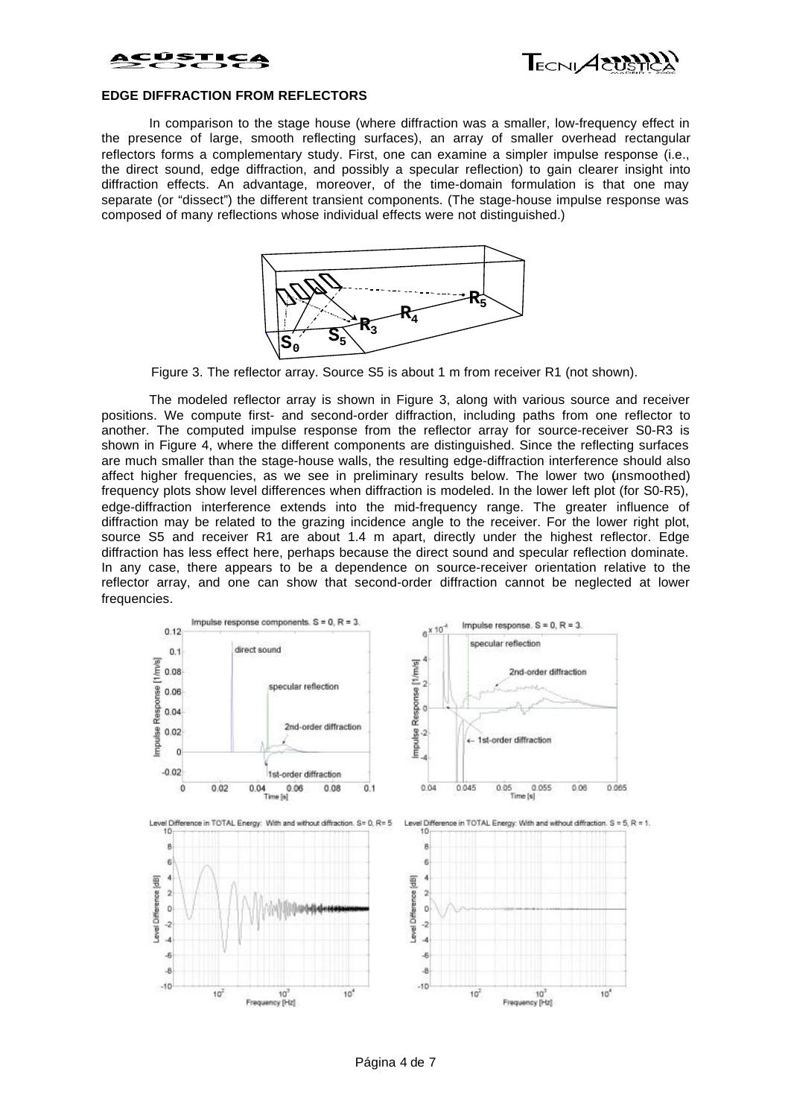



### **EDGE DIFFRACTION FROM REFLECTORS**

In comparison to the stage house (where diffraction was a smaller, low-frequency effect in the presence of large, smooth reflecting surfaces), an array of smaller overhead rectangular reflectors forms a complementary study. First, one can examine a simpler impulse response (i.e., the direct sound, edge diffraction, and possibly a specular reflection) to gain clearer insight into diffraction effects. An advantage, moreover, of the time-domain formulation is that one may separate (or "dissect") the different transient components. (The stage-house impulse response was composed of many reflections whose individual effects were not distinguished.)



Figure 3. The reflector array. Source S5 is about 1 m from receiver R1 (not shown).

The modeled reflector array is shown in Figure 3, along with various source and receiver positions. We compute first- and second-order diffraction, including paths from one reflector to another. The computed impulse response from the reflector array for source-receiver S0-R3 is shown in Figure 4, where the different components are distinguished. Since the reflecting surfaces are much smaller than the stage-house walls, the resulting edge-diffraction interference should also affect higher frequencies, as we see in preliminary results below. The lower two (unsmoothed) frequency plots show level differences when diffraction is modeled. In the lower left plot (for S0-R5), edge-diffraction interference extends into the mid-frequency range. The greater influence of diffraction may be related to the grazing incidence angle to the receiver. For the lower right plot, source S5 and receiver R1 are about 1.4 m apart, directly under the highest reflector. Edge diffraction has less effect here, perhaps because the direct sound and specular reflection dominate. In any case, there appears to be a dependence on source-receiver orientation relative to the reflector array, and one can show that second-order diffraction cannot be neglected at lower frequencies.

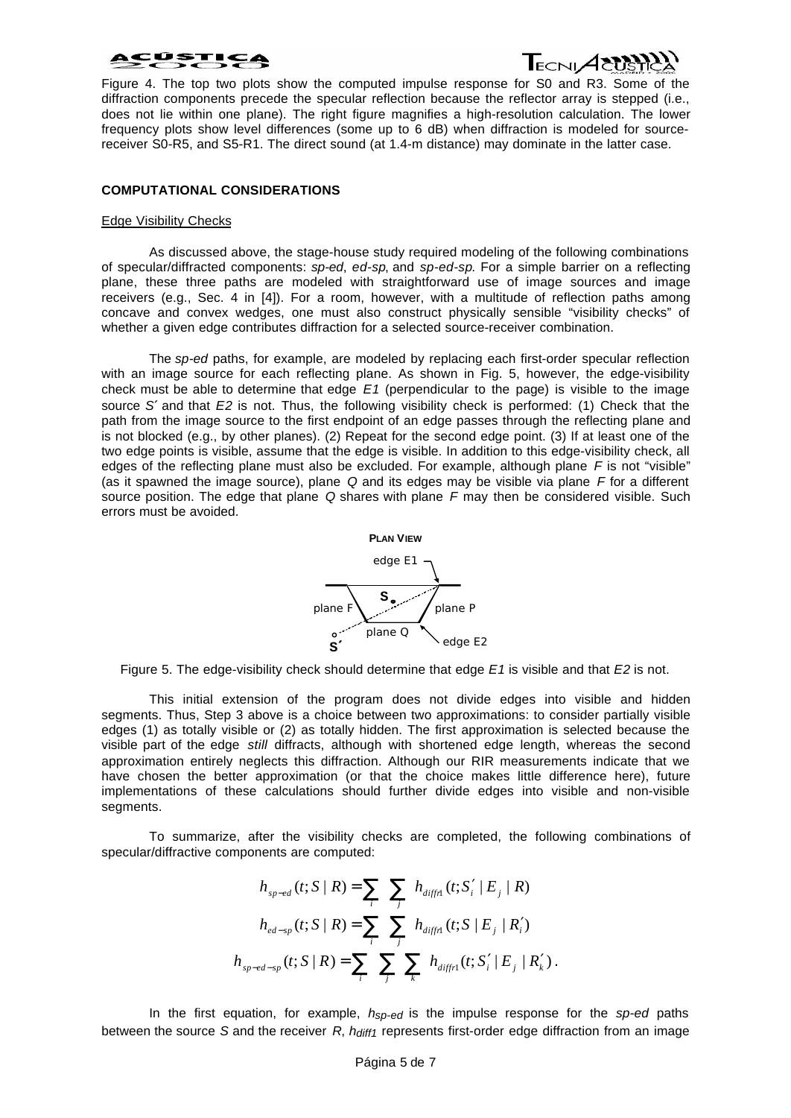

Figure 4. The top two plots show the computed impulse response for S0 and R3. Some of the diffraction components precede the specular reflection because the reflector array is stepped (i.e., does not lie within one plane). The right figure magnifies a high-resolution calculation. The lower frequency plots show level differences (some up to 6 dB) when diffraction is modeled for sourcereceiver S0-R5, and S5-R1. The direct sound (at 1.4-m distance) may dominate in the latter case.

### **COMPUTATIONAL CONSIDERATIONS**

### Edge Visibility Checks

As discussed above, the stage-house study required modeling of the following combinations of specular/diffracted components: *sp-ed*, *ed-sp*, and *sp-ed-sp*. For a simple barrier on a reflecting plane, these three paths are modeled with straightforward use of image sources and image receivers (e.g., Sec. 4 in [4]). For a room, however, with a multitude of reflection paths among concave and convex wedges, one must also construct physically sensible "visibility checks" of whether a given edge contributes diffraction for a selected source-receiver combination.

The *sp-ed* paths, for example, are modeled by replacing each first-order specular reflection with an image source for each reflecting plane. As shown in Fig. 5, however, the edge-visibility check must be able to determine that edge *E1* (perpendicular to the page) is visible to the image source *S¢* and that *E2* is not. Thus, the following visibility check is performed: (1) Check that the path from the image source to the first endpoint of an edge passes through the reflecting plane and is not blocked (e.g., by other planes). (2) Repeat for the second edge point. (3) If at least one of the two edge points is visible, assume that the edge is visible. In addition to this edge-visibility check, all edges of the reflecting plane must also be excluded. For example, although plane *F* is not "visible" (as it spawned the image source), plane *Q* and its edges may be visible via plane *F* for a different source position. The edge that plane *Q* shares with plane *F* may then be considered visible. Such errors must be avoided.



Figure 5. The edge-visibility check should determine that edge *E1* is visible and that *E2* is not.

This initial extension of the program does not divide edges into visible and hidden segments. Thus, Step 3 above is a choice between two approximations: to consider partially visible edges (1) as totally visible or (2) as totally hidden. The first approximation is selected because the visible part of the edge *still* diffracts, although with shortened edge length, whereas the second approximation entirely neglects this diffraction. Although our RIR measurements indicate that we have chosen the better approximation (or that the choice makes little difference here), future implementations of these calculations should further divide edges into visible and non-visible segments.

To summarize, after the visibility checks are completed, the following combinations of specular/diffractive components are computed:

$$
h_{_{sp-ed}}(t; S | R) = \sum_{i} \sum_{j} h_{diffn}(t; S'_{i} | E_{j} | R)
$$
  

$$
h_{_{ed-sp}}(t; S | R) = \sum_{i} \sum_{j} h_{diffn}(t; S | E_{j} | R'_{i})
$$
  

$$
h_{_{sp-ed-sp}}(t; S | R) = \sum_{i} \sum_{j} \sum_{k} h_{diffn}(t; S'_{i} | E_{j} | R'_{k}).
$$

In the first equation, for example, *hsp-ed* is the impulse response for the *sp-ed* paths between the source *S* and the receiver *R*, *hdiff1* represents first-order edge diffraction from an image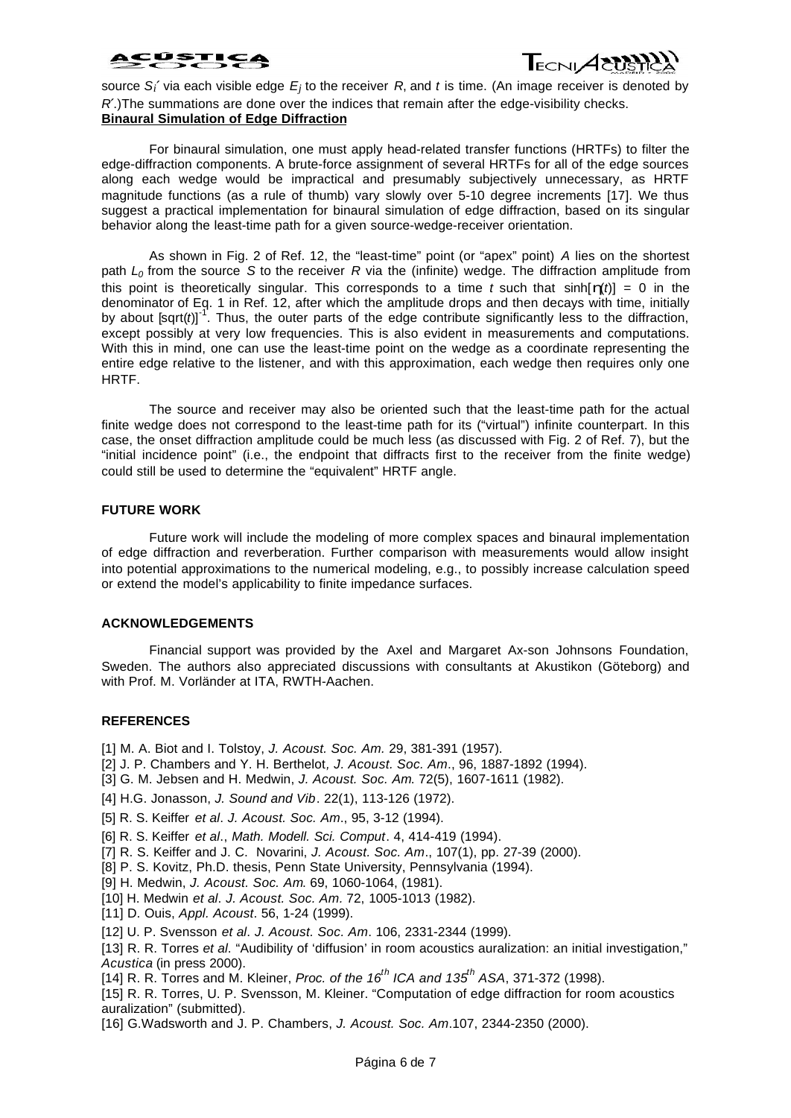## **PISTICA**



source S<sub>i</sub>  $\alpha$ ia each visible edge  $E_j$  to the receiver R, and *t* is time. (An image receiver is denoted by *R¢*.)The summations are done over the indices that remain after the edge-visibility checks. **Binaural Simulation of Edge Diffraction**

For binaural simulation, one must apply head-related transfer functions (HRTFs) to filter the edge-diffraction components. A brute-force assignment of several HRTFs for all of the edge sources along each wedge would be impractical and presumably subjectively unnecessary, as HRTF magnitude functions (as a rule of thumb) vary slowly over 5-10 degree increments [17]. We thus suggest a practical implementation for binaural simulation of edge diffraction, based on its singular behavior along the least-time path for a given source-wedge-receiver orientation.

As shown in Fig. 2 of Ref. 12, the "least-time" point (or "apex" point) *A* lies on the shortest path *L0* from the source *S* to the receiver *R* via the (infinite) wedge. The diffraction amplitude from this point is theoretically singular. This corresponds to a time *t* such that sinh $[h(t)] = 0$  in the denominator of Eq. 1 in Ref. 12, after which the amplitude drops and then decays with time, initially by about  $\left[\text{sqrt}(t)\right]^{-1}$ . Thus, the outer parts of the edge contribute significantly less to the diffraction, except possibly at very low frequencies. This is also evident in measurements and computations. With this in mind, one can use the least-time point on the wedge as a coordinate representing the entire edge relative to the listener, and with this approximation, each wedge then requires only one HRTF.

The source and receiver may also be oriented such that the least-time path for the actual finite wedge does not correspond to the least-time path for its ("virtual") infinite counterpart. In this case, the onset diffraction amplitude could be much less (as discussed with Fig. 2 of Ref. 7), but the "initial incidence point" (i.e., the endpoint that diffracts first to the receiver from the finite wedge) could still be used to determine the "equivalent" HRTF angle.

### **FUTURE WORK**

Future work will include the modeling of more complex spaces and binaural implementation of edge diffraction and reverberation. Further comparison with measurements would allow insight into potential approximations to the numerical modeling, e.g., to possibly increase calculation speed or extend the model's applicability to finite impedance surfaces.

### **ACKNOWLEDGEMENTS**

Financial support was provided by the Axel and Margaret Ax-son Johnsons Foundation, Sweden. The authors also appreciated discussions with consultants at Akustikon (Göteborg) and with Prof. M. Vorländer at ITA, RWTH-Aachen.

### **REFERENCES**

- [1] M. A. Biot and I. Tolstoy, *J. Acoust. Soc. Am.* 29, 381-391 (1957).
- [2] J. P. Chambers and Y. H. Berthelot*, J. Acoust. Soc. Am*., 96, 1887-1892 (1994).
- [3] G. M. Jebsen and H. Medwin, *J. Acoust. Soc. Am*. 72(5), 1607-1611 (1982).
- [4] H.G. Jonasson, *J. Sound and Vib*. 22(1), 113-126 (1972).
- [5] R. S. Keiffer *et al*. *J. Acoust. Soc. Am*., 95, 3-12 (1994).
- [6] R. S. Keiffer *et al*., *Math. Modell. Sci. Comput*. 4, 414-419 (1994).
- [7] R. S. Keiffer and J. C. Novarini, *J. Acoust. Soc. Am*., 107(1), pp. 27-39 (2000).
- [8] P. S. Kovitz, Ph.D. thesis, Penn State University, Pennsylvania (1994).
- [9] H. Medwin, *J. Acoust. Soc. Am*. 69, 1060-1064, (1981).
- [10] H. Medwin *et al*. *J. Acoust. Soc. Am.* 72, 1005-1013 (1982).
- [11] D. Ouis, *Appl. Acoust*. 56, 1-24 (1999).
- [12] U. P. Svensson *et al*. *J. Acoust. Soc. Am*. 106, 2331-2344 (1999).
- [13] R. R. Torres *et al*. "Audibility of 'diffusion' in room acoustics auralization: an initial investigation," *Acustica* (in press 2000).
- [14] R. R. Torres and M. Kleiner, *Proc. of the 16th ICA and 135th ASA*, 371-372 (1998).
- [15] R. R. Torres, U. P. Svensson, M. Kleiner. "Computation of edge diffraction for room acoustics auralization" (submitted).
- [16] G.Wadsworth and J. P. Chambers, *J. Acoust. Soc. Am*.107, 2344-2350 (2000).